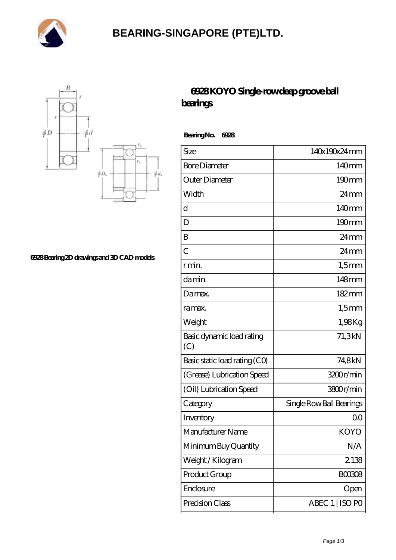

## **[BEARING-SINGAPORE \(PTE\)LTD.](https://m.ryiuy.com)**



**[6928 Bearing 2D drawings and 3D CAD models](https://m.ryiuy.com/pic-727673.html)**

## **[6928 KOYO Single-row deep groove ball](https://m.ryiuy.com/single-row-deep-groove-ball-bearings/6928.html) [bearings](https://m.ryiuy.com/single-row-deep-groove-ball-bearings/6928.html)**

 **Bearing No. 6928**

| Size                             | 140x190x24mm             |
|----------------------------------|--------------------------|
| <b>Bore Diameter</b>             | 140mm                    |
| Outer Diameter                   | $190 \text{mm}$          |
| Width                            | $24 \,\mathrm{mm}$       |
| d                                | $140$ mm                 |
| D                                | $190 \text{mm}$          |
| B                                | $24 \,\mathrm{mm}$       |
| $\overline{C}$                   | $24 \,\mathrm{mm}$       |
| r min.                           | $1,5$ mm                 |
| da min.                          | 148mm                    |
| Damax.                           | 182mm                    |
| ra max.                          | $1,5$ mm                 |
| Weight                           | 1,98Kg                   |
| Basic dynamic load rating<br>(C) | 71,3kN                   |
| Basic static load rating (CO)    | 74,8kN                   |
| (Grease) Lubrication Speed       | 3200r/min                |
| (Oil) Lubrication Speed          | 3800r/min                |
| Category                         | Single Row Ball Bearings |
| Inventory                        | 0 <sup>0</sup>           |
| Manufacturer Name                | <b>KOYO</b>              |
| Minimum Buy Quantity             | N/A                      |
| Weight/Kilogram                  | 2138                     |
| Product Group                    | <b>BOO3O8</b>            |
| Enclosure                        | Open                     |
| Precision Class                  | ABEC 1   ISO PO          |
|                                  |                          |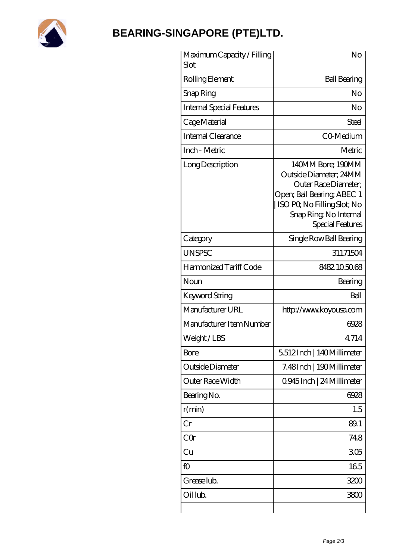

## **[BEARING-SINGAPORE \(PTE\)LTD.](https://m.ryiuy.com)**

| Maximum Capacity / Filling<br>Slot | No                                                                                                                                                                            |
|------------------------------------|-------------------------------------------------------------------------------------------------------------------------------------------------------------------------------|
| Rolling Element                    | <b>Ball Bearing</b>                                                                                                                                                           |
| Snap Ring                          | No                                                                                                                                                                            |
| <b>Internal Special Features</b>   | No                                                                                                                                                                            |
| Cage Material                      | <b>Steel</b>                                                                                                                                                                  |
| Internal Clearance                 | C <sub>O</sub> Medium                                                                                                                                                         |
| Inch - Metric                      | Metric                                                                                                                                                                        |
| Long Description                   | 140MM Bore; 190MM<br>Outside Diameter; 24MM<br>Outer Race Diameter:<br>Open; Ball Bearing; ABEC 1<br>ISO PQ No Filling Slot; No<br>Snap Ring, No Internal<br>Special Features |
| Category                           | Single Row Ball Bearing                                                                                                                                                       |
| <b>UNSPSC</b>                      | 31171504                                                                                                                                                                      |
| Harmonized Tariff Code             | 8482.105068                                                                                                                                                                   |
| Noun                               | Bearing                                                                                                                                                                       |
| Keyword String                     | Ball                                                                                                                                                                          |
| Manufacturer URL                   | http://www.koyousa.com                                                                                                                                                        |
| Manufacturer Item Number           | 6928                                                                                                                                                                          |
| Weight/LBS                         | 4.714                                                                                                                                                                         |
| Bore                               | 5512Inch   140Millimeter                                                                                                                                                      |
| Outside Diameter                   | 7.48Inch   190Millimeter                                                                                                                                                      |
| Outer Race Width                   | 0945Inch   24 Millimeter                                                                                                                                                      |
| Bearing No.                        | 6928                                                                                                                                                                          |
| r(min)                             | 1.5                                                                                                                                                                           |
| Cr                                 | 89.1                                                                                                                                                                          |
| CQr                                | 748                                                                                                                                                                           |
| Cu                                 | 305                                                                                                                                                                           |
| fO                                 | 165                                                                                                                                                                           |
| Grease lub.                        | 3200                                                                                                                                                                          |
| Oil lub.                           | 3800                                                                                                                                                                          |
|                                    |                                                                                                                                                                               |